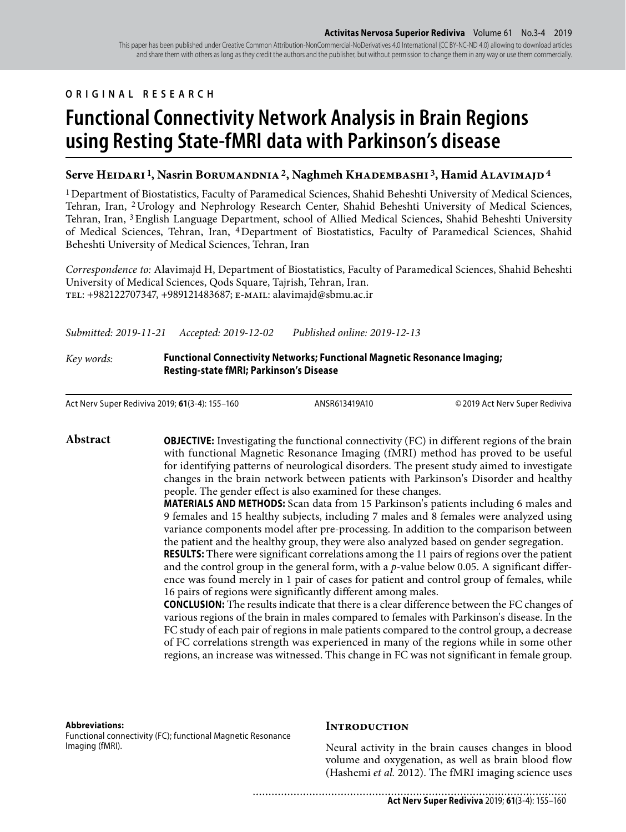#### This paper has been published under Creative Common Attribution-NonCommercial-NoDerivatives 4.0 International (CC BY-NC-ND 4.0) allowing to download articles and share them with others as long as they credit the authors and the publisher, but without permission to change them in any way or use them commercially.

# **ORIGINAL RESEARCH**

# **Functional Connectivity Network Analysis in Brain Regions using Resting State-fMRI data with Parkinson's disease**

# Serve HEIDARI<sup>1</sup>, Nasrin BORUMANDNIA<sup>2</sup>, Naghmeh KHADEMBASHI<sup>3</sup>, Hamid ALAVIMAJD<sup>4</sup>

1 Department of Biostatistics, Faculty of Paramedical Sciences, Shahid Beheshti University of Medical Sciences, Tehran, Iran, 2 Urology and Nephrology Research Center, Shahid Beheshti University of Medical Sciences, Tehran, Iran, 3 English Language Department, school of Allied Medical Sciences, Shahid Beheshti University of Medical Sciences, Tehran, Iran, 4 Department of Biostatistics, Faculty of Paramedical Sciences, Shahid Beheshti University of Medical Sciences, Tehran, Iran

*Correspondence to:* Alavimajd H, Department of Biostatistics, Faculty of Paramedical Sciences, Shahid Beheshti University of Medical Sciences, Qods Square, Tajrish, Tehran, Iran. tel: +982122707347, +989121483687; e-mail: alavimajd@sbmu.ac.ir

*Submitted: 2019-11-21 Accepted: 2019-12-02 Published online: 2019-12-13*

## *Key words:* **Functional Connectivity Networks; Functional Magnetic Resonance Imaging; Resting-state fMRI; Parkinson's Disease**

Act Nerv Super Rediviva 2019; **61**(3-4): 155–160 ANSR613419A10 © 2019 Act Nerv Super Rediviva

**Abstract OBJECTIVE:** Investigating the functional connectivity (FC) in different regions of the brain with functional Magnetic Resonance Imaging (fMRI) method has proved to be useful for identifying patterns of neurological disorders. The present study aimed to investigate changes in the brain network between patients with Parkinson's Disorder and healthy people. The gender effect is also examined for these changes.

> **MATERIALS AND METHODS:** Scan data from 15 Parkinson's patients including 6 males and 9 females and 15 healthy subjects, including 7 males and 8 females were analyzed using variance components model after pre-processing. In addition to the comparison between the patient and the healthy group, they were also analyzed based on gender segregation.

> **RESULTS:** There were significant correlations among the 11 pairs of regions over the patient and the control group in the general form, with a *p*-value below 0.05. A significant difference was found merely in 1 pair of cases for patient and control group of females, while 16 pairs of regions were significantly different among males.

> **CONCLUSION:** The results indicate that there is a clear difference between the FC changes of various regions of the brain in males compared to females with Parkinson's disease. In the FC study of each pair of regions in male patients compared to the control group, a decrease of FC correlations strength was experienced in many of the regions while in some other regions, an increase was witnessed. This change in FC was not significant in female group.

#### **Abbreviations:**

Functional connectivity (FC); functional Magnetic Resonance Imaging (fMRI).

#### **INTRODUCTION**

....................................

Neural activity in the brain causes changes in blood volume and oxygenation, as well as brain blood flow (Hashemi *et al.* 2012). The fMRI imaging science uses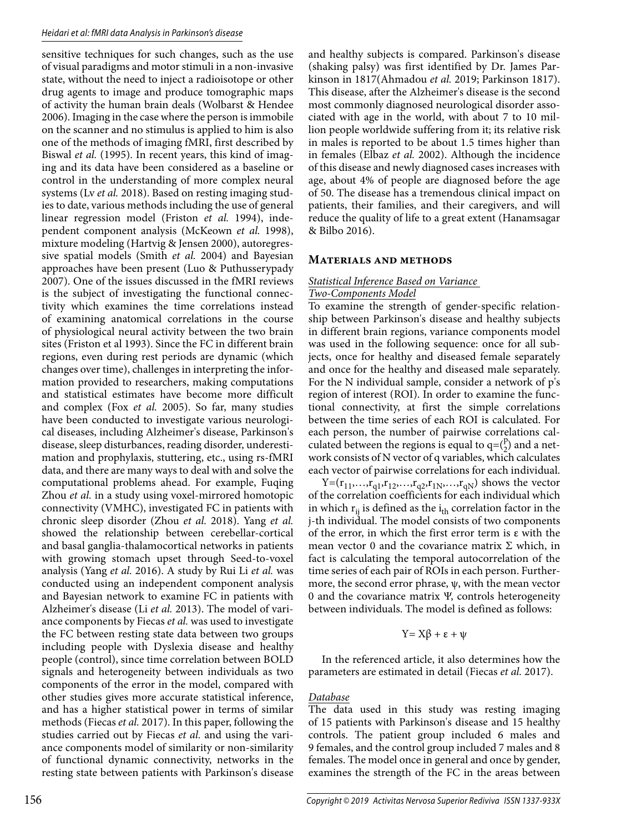sensitive techniques for such changes, such as the use of visual paradigms and motor stimuli in a non-invasive state, without the need to inject a radioisotope or other drug agents to image and produce tomographic maps of activity the human brain deals (Wolbarst & Hendee 2006). Imaging in the case where the person is immobile on the scanner and no stimulus is applied to him is also one of the methods of imaging fMRI, first described by Biswal *et al.* (1995). In recent years, this kind of imaging and its data have been considered as a baseline or control in the understanding of more complex neural systems (Lv *et al.* 2018). Based on resting imaging studies to date, various methods including the use of general linear regression model (Friston *et al.* 1994), independent component analysis (McKeown *et al.* 1998), mixture modeling (Hartvig & Jensen 2000), autoregressive spatial models (Smith *et al.* 2004) and Bayesian approaches have been present (Luo & Puthusserypady 2007). One of the issues discussed in the fMRI reviews is the subject of investigating the functional connectivity which examines the time correlations instead of examining anatomical correlations in the course of physiological neural activity between the two brain sites (Friston et al 1993). Since the FC in different brain regions, even during rest periods are dynamic (which changes over time), challenges in interpreting the information provided to researchers, making computations and statistical estimates have become more difficult and complex (Fox *et al.* 2005). So far, many studies have been conducted to investigate various neurological diseases, including Alzheimer's disease, Parkinson's disease, sleep disturbances, reading disorder, underestimation and prophylaxis, stuttering, etc., using rs-fMRI data, and there are many ways to deal with and solve the computational problems ahead. For example, Fuqing Zhou *et al.* in a study using voxel-mirrored homotopic connectivity (VMHC), investigated FC in patients with chronic sleep disorder (Zhou *et al.* 2018). Yang *et al.* showed the relationship between cerebellar-cortical and basal ganglia-thalamocortical networks in patients with growing stomach upset through Seed-to-voxel analysis (Yang *et al.* 2016). A study by Rui Li *et al.* was conducted using an independent component analysis and Bayesian network to examine FC in patients with Alzheimer's disease (Li *et al.* 2013). The model of variance components by Fiecas *et al.* was used to investigate the FC between resting state data between two groups including people with Dyslexia disease and healthy people (control), since time correlation between BOLD signals and heterogeneity between individuals as two components of the error in the model, compared with other studies gives more accurate statistical inference, and has a higher statistical power in terms of similar methods (Fiecas *et al.* 2017). In this paper, following the studies carried out by Fiecas *et al.* and using the variance components model of similarity or non-similarity of functional dynamic connectivity, networks in the resting state between patients with Parkinson's disease

and healthy subjects is compared. Parkinson's disease (shaking palsy) was first identified by Dr. James Parkinson in 1817(Ahmadou *et al.* 2019; Parkinson 1817). This disease, after the Alzheimer's disease is the second most commonly diagnosed neurological disorder associated with age in the world, with about 7 to 10 million people worldwide suffering from it; its relative risk in males is reported to be about 1.5 times higher than in females (Elbaz *et al.* 2002). Although the incidence of this disease and newly diagnosed cases increases with age, about 4% of people are diagnosed before the age of 50. The disease has a tremendous clinical impact on patients, their families, and their caregivers, and will reduce the quality of life to a great extent (Hanamsagar & Bilbo 2016).

#### **Materials and methods**

# *Statistical Inference Based on Variance*

# *Two-Components Model*

To examine the strength of gender-specific relationship between Parkinson's disease and healthy subjects in different brain regions, variance components model was used in the following sequence: once for all subjects, once for healthy and diseased female separately and once for the healthy and diseased male separately. For the N individual sample, consider a network of p's region of interest (ROI). In order to examine the functional connectivity, at first the simple correlations between the time series of each ROI is calculated. For each person, the number of pairwise correlations calculated between the regions is equal to  $q = (\frac{p}{2})$  and a network consists of N vector of q variables, which calculates each vector of pairwise correlations for each individual.

 $Y=(r_{11},...,r_{q1},r_{12},...,r_{q2},r_{1N},...,r_{qN})$  shows the vector of the correlation coefficients for each individual which in which  $r_{ii}$  is defined as the  $i_{th}$  correlation factor in the j-th individual. The model consists of two components of the error, in which the first error term is ε with the mean vector 0 and the covariance matrix  $\Sigma$  which, in fact is calculating the temporal autocorrelation of the time series of each pair of ROIs in each person. Furthermore, the second error phrase,  $\psi$ , with the mean vector 0 and the covariance matrix Ψ, controls heterogeneity between individuals. The model is defined as follows:

#### $Y = X\beta + \varepsilon + \psi$

In the referenced article, it also determines how the parameters are estimated in detail (Fiecas *et al.* 2017).

#### *Database*

The data used in this study was resting imaging of 15 patients with Parkinson's disease and 15 healthy controls. The patient group included 6 males and 9 females, and the control group included 7 males and 8 females. The model once in general and once by gender, examines the strength of the FC in the areas between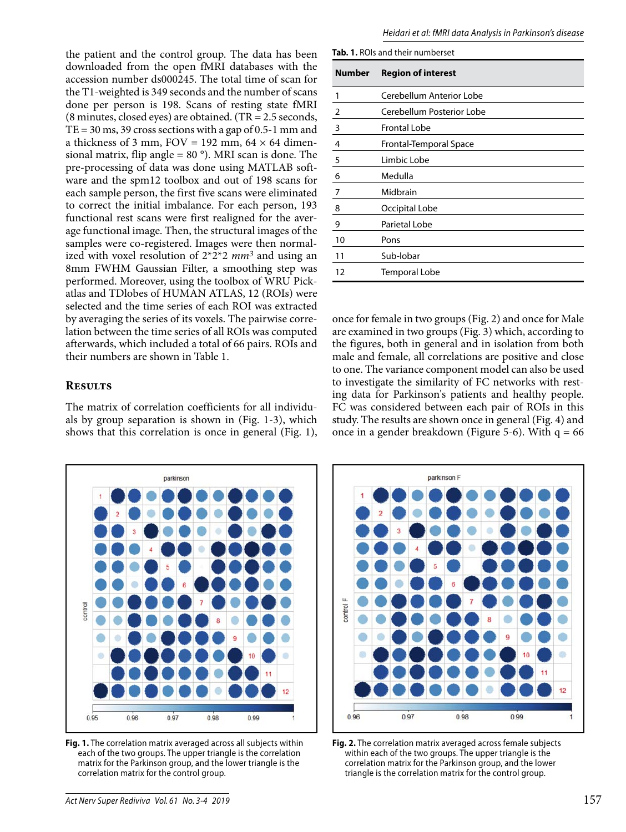the patient and the control group. The data has been downloaded from the open fMRI databases with the accession number ds000245. The total time of scan for the T1-weighted is 349 seconds and the number of scans done per person is 198. Scans of resting state fMRI (8 minutes, closed eyes) are obtained. (TR = 2.5 seconds,  $TE = 30$  ms, 39 cross sections with a gap of 0.5-1 mm and a thickness of 3 mm,  $FOV = 192$  mm,  $64 \times 64$  dimensional matrix, flip angle =  $80^\circ$ ). MRI scan is done. The pre-processing of data was done using MATLAB software and the spm12 toolbox and out of 198 scans for each sample person, the first five scans were eliminated to correct the initial imbalance. For each person, 193 functional rest scans were first realigned for the average functional image. Then, the structural images of the samples were co-registered. Images were then normalized with voxel resolution of 2\*2\*2 *mm3* and using an 8mm FWHM Gaussian Filter, a smoothing step was performed. Moreover, using the toolbox of WRU Pickatlas and TDlobes of HUMAN ATLAS, 12 (ROIs) were selected and the time series of each ROI was extracted by averaging the series of its voxels. The pairwise correlation between the time series of all ROIs was computed afterwards, which included a total of 66 pairs. ROIs and their numbers are shown in Table 1.

# **Results**

The matrix of correlation coefficients for all individuals by group separation is shown in (Fig. 1-3), which shows that this correlation is once in general (Fig. 1),



**Tab. 1.** ROIs and their numberset

| <b>Number</b>           | <b>Region of interest</b> |
|-------------------------|---------------------------|
| 1                       | Cerebellum Anterior Lobe  |
| $\overline{2}$          | Cerebellum Posterior Lobe |
| $\overline{\mathbf{3}}$ | <b>Frontal Lobe</b>       |
| $\overline{4}$          | Frontal-Temporal Space    |
| 5                       | Limbic Lobe               |
| 6                       | Medulla                   |
| $\overline{7}$          | Midbrain                  |
| 8                       | Occipital Lobe            |
| 9                       | Parietal Lobe             |
| 10                      | Pons                      |
| 11                      | Sub-lobar                 |
| 12                      | <b>Temporal Lobe</b>      |

once for female in two groups (Fig. 2) and once for Male are examined in two groups (Fig. 3) which, according to the figures, both in general and in isolation from both male and female, all correlations are positive and close to one. The variance component model can also be used to investigate the similarity of FC networks with resting data for Parkinson's patients and healthy people. FC was considered between each pair of ROIs in this study. The results are shown once in general (Fig. 4) and once in a gender breakdown (Figure 5-6). With  $q = 66$ 



**Fig. 1.** The correlation matrix averaged across all subjects within each of the two groups. The upper triangle is the correlation matrix for the Parkinson group, and the lower triangle is the correlation matrix for the control group.



**Fig. 2.** The correlation matrix averaged across female subjects within each of the two groups. The upper triangle is the correlation matrix for the Parkinson group, and the lower triangle is the correlation matrix for the control group.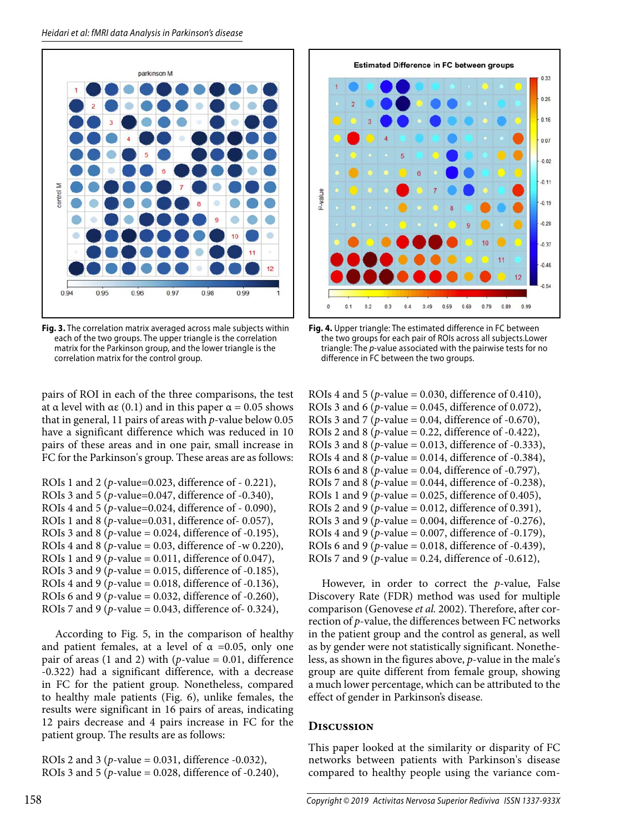

**Fig. 3.** The correlation matrix averaged across male subjects within each of the two groups. The upper triangle is the correlation matrix for the Parkinson group, and the lower triangle is the correlation matrix for the control group.

pairs of ROI in each of the three comparisons, the test at α level with αε (0.1) and in this paper  $\alpha$  = 0.05 shows that in general, 11 pairs of areas with *p*-value below 0.05 have a significant difference which was reduced in 10 pairs of these areas and in one pair, small increase in FC for the Parkinson's group. These areas are as follows:

ROIs 1 and 2 (*p*-value=0.023, difference of - 0.221), ROIs 3 and 5 (*p*-value=0.047, difference of -0.340), ROIs 4 and 5 (*p*-value=0.024, difference of - 0.090), ROIs 1 and 8 (*p*-value=0.031, difference of- 0.057), ROIs 3 and 8 (*p*-value = 0.024, difference of -0.195), ROIs 4 and 8 ( $p$ -value = 0.03, difference of -w 0.220), ROIs 1 and 9 (*p*-value = 0.011, difference of 0.047), ROIs 3 and 9 ( $p$ -value = 0.015, difference of -0.185), ROIs 4 and 9 (*p*-value = 0.018, difference of -0.136), ROIs 6 and 9 ( $p$ -value = 0.032, difference of -0.260), ROIs 7 and 9 (*p*-value = 0.043, difference of- 0.324),

According to Fig. 5, in the comparison of healthy and patient females, at a level of  $\alpha$  =0.05, only one pair of areas (1 and 2) with ( $p$ -value = 0.01, difference -0.322) had a significant difference, with a decrease in FC for the patient group. Nonetheless, compared to healthy male patients (Fig. 6), unlike females, the results were significant in 16 pairs of areas, indicating 12 pairs decrease and 4 pairs increase in FC for the patient group. The results are as follows:

ROIs 2 and 3 ( $p$ -value = 0.031, difference -0.032), ROIs 3 and 5 (*p*-value = 0.028, difference of -0.240),



**Fig. 4.** Upper triangle: The estimated difference in FC between the two groups for each pair of ROIs across all subjects.Lower triangle: The p-value associated with the pairwise tests for no difference in FC between the two groups.

ROIs 4 and 5 (*p*-value = 0.030, difference of 0.410), ROIs 3 and 6 ( $p$ -value = 0.045, difference of 0.072), ROIs 3 and 7 (*p*-value = 0.04, difference of -0.670), ROIs 2 and 8 ( $p$ -value = 0.22, difference of -0.422), ROIs 3 and 8 (*p*-value = 0.013, difference of -0.333), ROIs 4 and 8 ( $p$ -value = 0.014, difference of  $-0.384$ ), ROIs 6 and 8 ( $p$ -value = 0.04, difference of  $-0.797$ ), ROIs 7 and 8 (*p*-value = 0.044, difference of -0.238), ROIs 1 and 9 ( $p$ -value = 0.025, difference of 0.405), ROIs 2 and 9 (*p*-value = 0.012, difference of 0.391), ROIs 3 and 9 (*p*-value = 0.004, difference of -0.276), ROIs 4 and 9 (*p*-value = 0.007, difference of -0.179), ROIs 6 and 9 (*p*-value = 0.018, difference of -0.439), ROIs 7 and 9 ( $p$ -value = 0.24, difference of -0.612),

However, in order to correct the *p*-value, False Discovery Rate (FDR) method was used for multiple comparison (Genovese *et al.* 2002). Therefore, after correction of *p*-value, the differences between FC networks in the patient group and the control as general, as well as by gender were not statistically significant. Nonetheless, as shown in the figures above, *p*-value in the male's group are quite different from female group, showing a much lower percentage, which can be attributed to the effect of gender in Parkinson's disease.

# **Discussion**

This paper looked at the similarity or disparity of FC networks between patients with Parkinson's disease compared to healthy people using the variance com-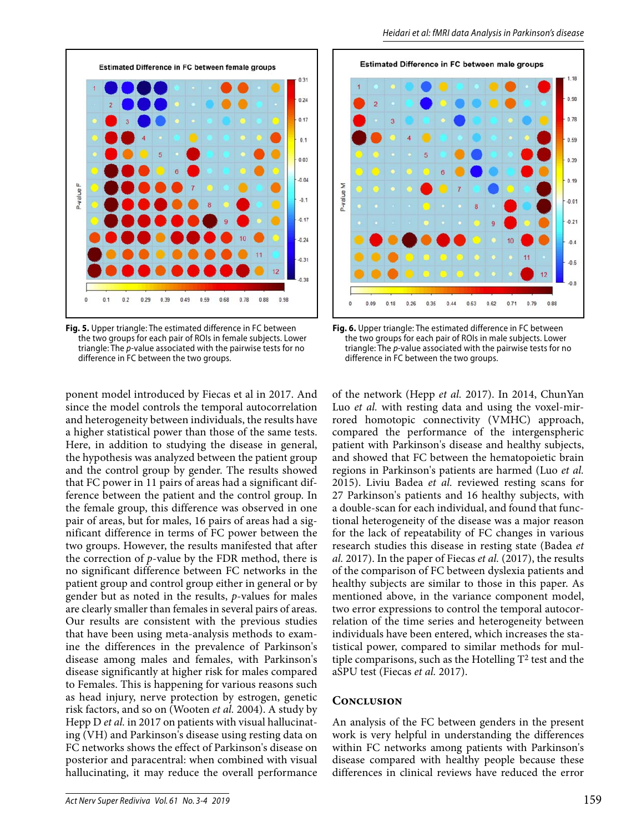

**Fig. 5.** Upper triangle: The estimated difference in FC between the two groups for each pair of ROIs in female subjects. Lower triangle: The p-value associated with the pairwise tests for no difference in FC between the two groups.

ponent model introduced by Fiecas et al in 2017. And since the model controls the temporal autocorrelation and heterogeneity between individuals, the results have a higher statistical power than those of the same tests. Here, in addition to studying the disease in general, the hypothesis was analyzed between the patient group and the control group by gender. The results showed that FC power in 11 pairs of areas had a significant difference between the patient and the control group. In the female group, this difference was observed in one pair of areas, but for males, 16 pairs of areas had a significant difference in terms of FC power between the two groups. However, the results manifested that after the correction of *p*-value by the FDR method, there is no significant difference between FC networks in the patient group and control group either in general or by gender but as noted in the results, *p*-values for males are clearly smaller than females in several pairs of areas. Our results are consistent with the previous studies that have been using meta-analysis methods to examine the differences in the prevalence of Parkinson's disease among males and females, with Parkinson's disease significantly at higher risk for males compared to Females. This is happening for various reasons such as head injury, nerve protection by estrogen, genetic risk factors, and so on (Wooten *et al.* 2004). A study by Hepp D *et al.* in 2017 on patients with visual hallucinating (VH) and Parkinson's disease using resting data on FC networks shows the effect of Parkinson's disease on posterior and paracentral: when combined with visual hallucinating, it may reduce the overall performance



**Fig. 6.** Upper triangle: The estimated difference in FC between the two groups for each pair of ROIs in male subjects. Lower triangle: The p-value associated with the pairwise tests for no difference in FC between the two groups.

of the network (Hepp *et al.* 2017). In 2014, ChunYan Luo *et al.* with resting data and using the voxel-mirrored homotopic connectivity (VMHC) approach, compared the performance of the intergenspheric patient with Parkinson's disease and healthy subjects, and showed that FC between the hematopoietic brain regions in Parkinson's patients are harmed (Luo *et al.* 2015). Liviu Badea *et al.* reviewed resting scans for 27 Parkinson's patients and 16 healthy subjects, with a double-scan for each individual, and found that functional heterogeneity of the disease was a major reason for the lack of repeatability of FC changes in various research studies this disease in resting state (Badea *et al.* 2017). In the paper of Fiecas *et al.* (2017), the results of the comparison of FC between dyslexia patients and healthy subjects are similar to those in this paper. As mentioned above, in the variance component model, two error expressions to control the temporal autocorrelation of the time series and heterogeneity between individuals have been entered, which increases the statistical power, compared to similar methods for multiple comparisons, such as the Hotelling  $T^2$  test and the aSPU test (Fiecas *et al.* 2017).

#### **Conclusion**

An analysis of the FC between genders in the present work is very helpful in understanding the differences within FC networks among patients with Parkinson's disease compared with healthy people because these differences in clinical reviews have reduced the error